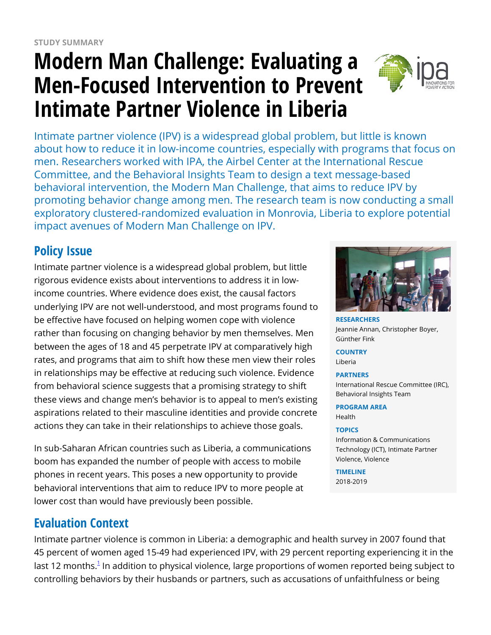# **Modern Man Challenge: Evaluating a Men-Focused Intervention to Prevent Intimate Partner Violence in Liberia**



Intimate partner violence (IPV) is a widespread global problem, but little is known about how to reduce it in low-income countries, especially with programs that focus on men. Researchers worked with IPA, the Airbel Center at the International Rescue Committee, and the Behavioral Insights Team to design a text message-based behavioral intervention, the Modern Man Challenge, that aims to reduce IPV by promoting behavior change among men. The research team is now conducting a small exploratory clustered-randomized evaluation in Monrovia, Liberia to explore potential impact avenues of Modern Man Challenge on IPV.

## **Policy Issue**

Intimate partner violence is a widespread global problem, but little rigorous evidence exists about interventions to address it in lowincome countries. Where evidence does exist, the causal factors underlying IPV are not well-understood, and most programs found to be effective have focused on helping women cope with violence rather than focusing on changing behavior by men themselves. Men between the ages of 18 and 45 perpetrate IPV at comparatively high rates, and programs that aim to shift how these men view their roles in relationships may be effective at reducing such violence. Evidence from behavioral science suggests that a promising strategy to shift these views and change men's behavior is to appeal to men's existing aspirations related to their masculine identities and provide concrete actions they can take in their relationships to achieve those goals.

In sub-Saharan African countries such as Liberia, a communications boom has expanded the number of people with access to mobile phones in recent years. This poses a new opportunity to provide behavioral interventions that aim to reduce IPV to more people at lower cost than would have previously been possible.

### **Evaluation Context**

Intimate partner violence is common in Liberia: a demographic and health survey in 2007 found that 45 percent of women aged 15-49 had experienced IPV, with 29 percent reporting experiencing it in the last [1](https://www.poverty-action.org/printpdf/39071#_ftn1)2 months.<sup>1</sup> In addition to physical violence, large proportions of women reported being subject to controlling behaviors by their husbands or partners, such as accusations of unfaithfulness or being



**RESEARCHERS** Jeannie Annan, Christopher Boyer, Günther Fink

**COUNTRY**

Liberia

#### **PARTNERS**

International Rescue Committee (IRC), Behavioral Insights Team

#### **PROGRAM AREA**

Health

#### **TOPICS**

Information & Communications Technology (ICT), Intimate Partner Violence, Violence

**TIMELINE**

2018-2019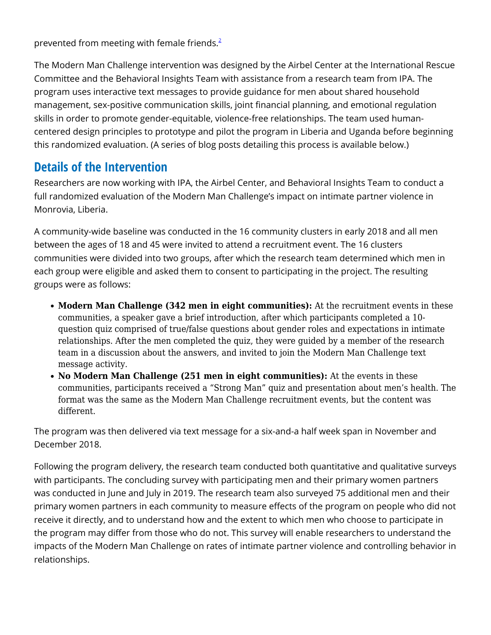prevented from meeting with female friends. $2^2$  $2^2$ 

The Modern Man Challenge intervention was designed by the Airbel Center at the International Rescue Committee and the Behavioral Insights Team with assistance from a research team from IPA. The program uses interactive text messages to provide guidance for men about shared household management, sex-positive communication skills, joint financial planning, and emotional regulation skills in order to promote gender-equitable, violence-free relationships. The team used humancentered design principles to prototype and pilot the program in Liberia and Uganda before beginning this randomized evaluation. (A series of blog posts detailing this process is available below.)

### **Details of the Intervention**

Researchers are now working with IPA, the Airbel Center, and Behavioral Insights Team to conduct a full randomized evaluation of the Modern Man Challenge's impact on intimate partner violence in Monrovia, Liberia.

A community-wide baseline was conducted in the 16 community clusters in early 2018 and all men between the ages of 18 and 45 were invited to attend a recruitment event. The 16 clusters communities were divided into two groups, after which the research team determined which men in each group were eligible and asked them to consent to participating in the project. The resulting groups were as follows:

- **Modern Man Challenge (342 men in eight communities):** At the recruitment events in these communities, a speaker gave a brief introduction, after which participants completed a 10 question quiz comprised of true/false questions about gender roles and expectations in intimate relationships. After the men completed the quiz, they were guided by a member of the research team in a discussion about the answers, and invited to join the Modern Man Challenge text message activity.
- No Modern Man Challenge (251 men in eight communities): At the events in these communities, participants received a "Strong Man" quiz and presentation about men's health. The format was the same as the Modern Man Challenge recruitment events, but the content was different.

The program was then delivered via text message for a six-and-a half week span in November and December 2018.

Following the program delivery, the research team conducted both quantitative and qualitative surveys with participants. The concluding survey with participating men and their primary women partners was conducted in June and July in 2019. The research team also surveyed 75 additional men and their primary women partners in each community to measure effects of the program on people who did not receive it directly, and to understand how and the extent to which men who choose to participate in the program may differ from those who do not. This survey will enable researchers to understand the impacts of the Modern Man Challenge on rates of intimate partner violence and controlling behavior in relationships.